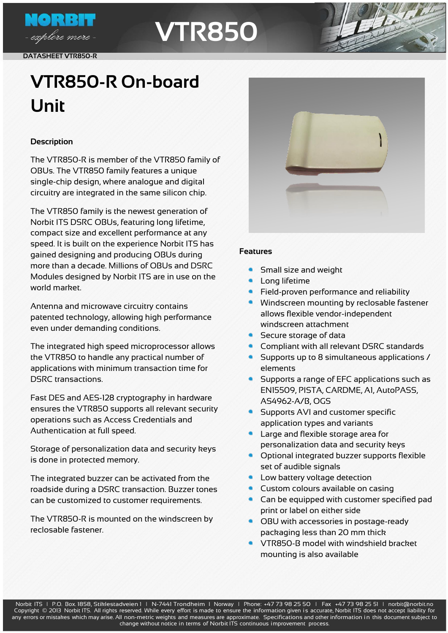

# **VTR850**

**DATASHEET VTR850-R**

## **VTR850-R On-board Unit**

### **Description**

The VTR850-R is member of the VTR850 family of OBUs. The VTR850 family features a unique single-chip design, where analogue and digital circuitry are integrated in the same silicon chip.

The VTR850 family is the newest generation of Norbit ITS DSRC OBUs, featuring long lifetime, compact size and excellent performance at any speed. It is built on the experience Norbit ITS has gained designing and producing OBUs during more than a decade. Millions of OBUs and DSRC Modules designed by Norbit ITS are in use on the world market.

Antenna and microwave circuitry contains patented technology, allowing high performance even under demanding conditions.

The integrated high speed microprocessor allows the VTR850 to handle any practical number of applications with minimum transaction time for DSRC transactions.

Fast DES and AES-128 cryptography in hardware ensures the VTR850 supports all relevant security operations such as Access Credentials and Authentication at full speed.

Storage of personalization data and security keys is done in protected memory.

The integrated buzzer can be activated from the roadside during a DSRC transaction. Buzzer tones can be customized to customer requirements.

The VTR850-R is mounted on the windscreen by reclosable fastener.



#### **Features**

- Small size and weight
- Long lifetime
- Field-proven performance and reliability
- Windscreen mounting by reclosable fastener allows flexible vendor-independent windscreen attachment
- Secure storage of data
- Compliant with all relevant DSRC standards
- Supports up to 8 simultaneous applications / elements
- Supports a range of EFC applications such as EN15509, PISTA, CARDME, A1, AutoPASS, AS4962-A/B, OGS
- Supports AVI and customer specific application types and variants
- Large and flexible storage area for personalization data and security keys
- Optional integrated buzzer supports flexible set of audible signals
- Low battery voltage detection
- Custom colours available on casing
- Can be equipped with customer specified pad print or label on either side
- OBU with accessories in postage-ready packaging less than 20 mm thick
- VTR850-B model with windshield bracket mounting is also available

Norbit ITS | P.O. Box. 1858, Stiklestadveien 1 | N-7441 Trondheim | Norway | Phone: +47 73 98 25 50 | Fax +47 73 98 25 51 | [norbit@norbit.no](mailto:norblt@norbit.no) Copyright © 2013 Norbit ITS. All rights reserved. While every effort is made to ensure the information given is accurate, Norbit ITS does not accept liability for any errors or mistakes which may arise. All non-metric weights and measures are approximate. Specifications and other information in this document subject to change without notice in terms of Norbit ITS continuous improvement process.